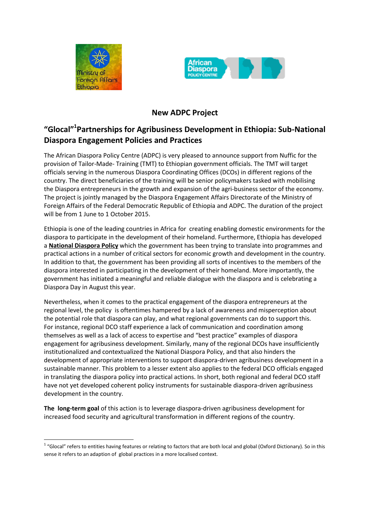

1



## **New ADPC Project**

## **"Glocal"<sup>1</sup> Partnerships for Agribusiness Development in Ethiopia: Sub-National Diaspora Engagement Policies and Practices**

The African Diaspora Policy Centre (ADPC) is very pleased to announce support from Nuffic for the provision of Tailor-Made- Training (TMT) to Ethiopian government officials. The TMT will target officials serving in the numerous Diaspora Coordinating Offices (DCOs) in different regions of the country. The direct beneficiaries of the training will be senior policymakers tasked with mobilising the Diaspora entrepreneurs in the growth and expansion of the agri-business sector of the economy. The project is jointly managed by the Diaspora Engagement Affairs Directorate of the Ministry of Foreign Affairs of the Federal Democratic Republic of Ethiopia and ADPC. The duration of the project will be from 1 June to 1 October 2015.

Ethiopia is one of the leading countries in Africa for creating enabling domestic environments for the diaspora to participate in the development of their homeland. Furthermore, Ethiopia has developed a **National Diaspora Policy** which the government has been trying to translate into programmes and practical actions in a number of critical sectors for economic growth and development in the country. In addition to that, the government has been providing all sorts of incentives to the members of the diaspora interested in participating in the development of their homeland. More importantly, the government has initiated a meaningful and reliable dialogue with the diaspora and is celebrating a Diaspora Day in August this year.

Nevertheless, when it comes to the practical engagement of the diaspora entrepreneurs at the regional level, the policy is oftentimes hampered by a lack of awareness and misperception about the potential role that diaspora can play, and what regional governments can do to support this. For instance, regional DCO staff experience a lack of communication and coordination among themselves as well as a lack of access to expertise and "best practice" examples of diaspora engagement for agribusiness development. Similarly, many of the regional DCOs have insufficiently institutionalized and contextualized the National Diaspora Policy, and that also hinders the development of appropriate interventions to support diaspora-driven agribusiness development in a sustainable manner. This problem to a lesser extent also applies to the federal DCO officials engaged in translating the diaspora policy into practical actions. In short, both regional and federal DCO staff have not yet developed coherent policy instruments for sustainable diaspora-driven agribusiness development in the country.

**The long-term goal** of this action is to leverage diaspora-driven agribusiness development for increased food security and agricultural transformation in different regions of the country.

 $1$  "Glocal" refers to entities having features or relating to factors that are both local and global (Oxford Dictionary). So in this sense it refers to an adaption of global practices in a more localised context.